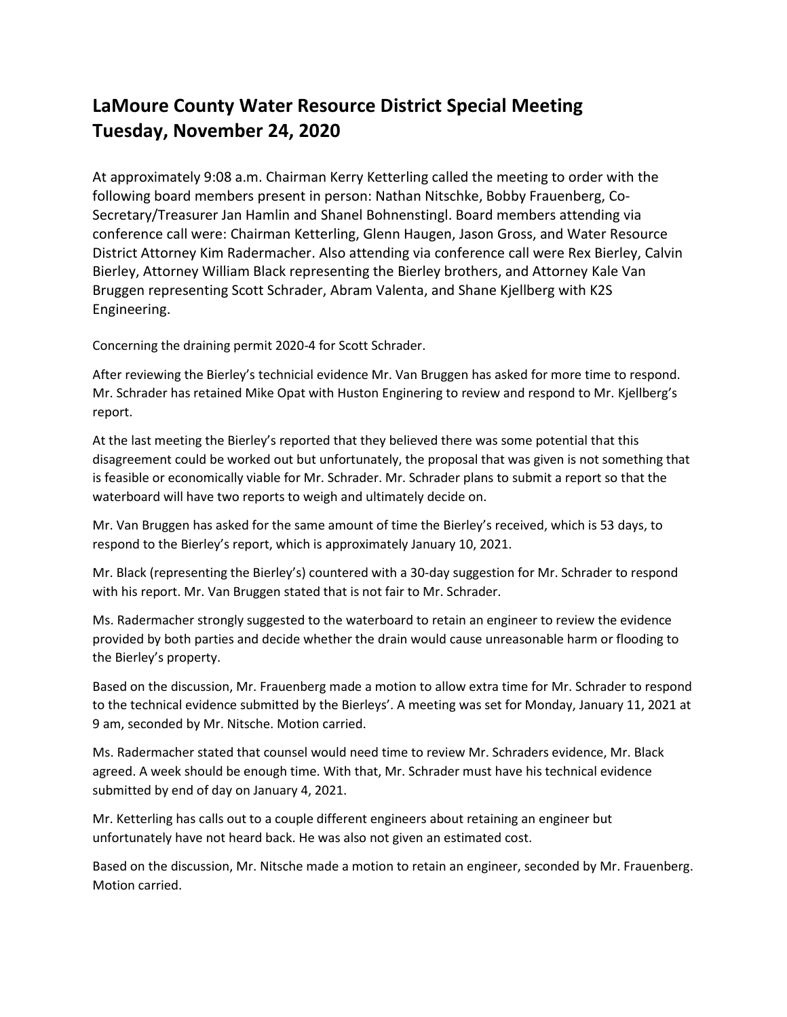## **LaMoure County Water Resource District Special Meeting Tuesday, November 24, 2020**

At approximately 9:08 a.m. Chairman Kerry Ketterling called the meeting to order with the following board members present in person: Nathan Nitschke, Bobby Frauenberg, Co-Secretary/Treasurer Jan Hamlin and Shanel Bohnenstingl. Board members attending via conference call were: Chairman Ketterling, Glenn Haugen, Jason Gross, and Water Resource District Attorney Kim Radermacher. Also attending via conference call were Rex Bierley, Calvin Bierley, Attorney William Black representing the Bierley brothers, and Attorney Kale Van Bruggen representing Scott Schrader, Abram Valenta, and Shane Kjellberg with K2S Engineering.

Concerning the draining permit 2020-4 for Scott Schrader.

After reviewing the Bierley's technicial evidence Mr. Van Bruggen has asked for more time to respond. Mr. Schrader has retained Mike Opat with Huston Enginering to review and respond to Mr. Kjellberg's report.

At the last meeting the Bierley's reported that they believed there was some potential that this disagreement could be worked out but unfortunately, the proposal that was given is not something that is feasible or economically viable for Mr. Schrader. Mr. Schrader plans to submit a report so that the waterboard will have two reports to weigh and ultimately decide on.

Mr. Van Bruggen has asked for the same amount of time the Bierley's received, which is 53 days, to respond to the Bierley's report, which is approximately January 10, 2021.

Mr. Black (representing the Bierley's) countered with a 30-day suggestion for Mr. Schrader to respond with his report. Mr. Van Bruggen stated that is not fair to Mr. Schrader.

Ms. Radermacher strongly suggested to the waterboard to retain an engineer to review the evidence provided by both parties and decide whether the drain would cause unreasonable harm or flooding to the Bierley's property.

Based on the discussion, Mr. Frauenberg made a motion to allow extra time for Mr. Schrader to respond to the technical evidence submitted by the Bierleys'. A meeting was set for Monday, January 11, 2021 at 9 am, seconded by Mr. Nitsche. Motion carried.

Ms. Radermacher stated that counsel would need time to review Mr. Schraders evidence, Mr. Black agreed. A week should be enough time. With that, Mr. Schrader must have his technical evidence submitted by end of day on January 4, 2021.

Mr. Ketterling has calls out to a couple different engineers about retaining an engineer but unfortunately have not heard back. He was also not given an estimated cost.

Based on the discussion, Mr. Nitsche made a motion to retain an engineer, seconded by Mr. Frauenberg. Motion carried.